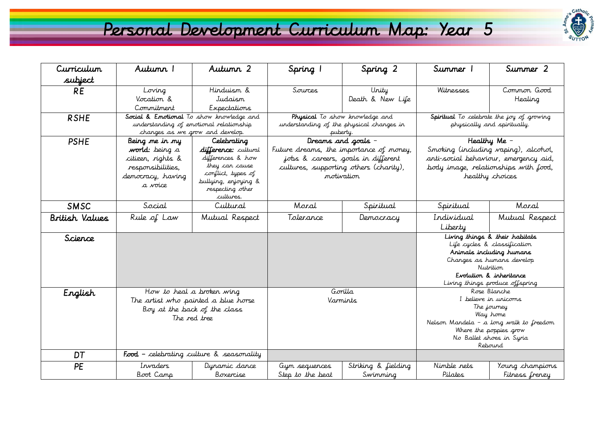## Personal Development Curriculum Map: Year 5



| Curriculum     | Autunn 1                                                                                                               | Autumn 2                                                                    | Spring 1                                                                                                                | Spring 2                  | Summer 1                                                                                                                                                                                           | Summer 2               |
|----------------|------------------------------------------------------------------------------------------------------------------------|-----------------------------------------------------------------------------|-------------------------------------------------------------------------------------------------------------------------|---------------------------|----------------------------------------------------------------------------------------------------------------------------------------------------------------------------------------------------|------------------------|
| subject        |                                                                                                                        |                                                                             |                                                                                                                         |                           |                                                                                                                                                                                                    |                        |
| <b>RE</b>      | Loving<br>Vocation &<br>Commitment                                                                                     | Hinduism &<br>Judaism<br>Expectations                                       | Sources                                                                                                                 | Unity<br>Death & New Life | Witnesses                                                                                                                                                                                          | Common Good<br>Healing |
| <b>RSHE</b>    | Social & Emotional To show knowledge and<br>understanding of emotional relationship<br>changes as we grow and develop. |                                                                             | Physical To show knowledge and<br>understanding of the physical changes in<br>puberty.                                  |                           | Spiritual To celebrate the joy of growing<br>physically and spiritually.                                                                                                                           |                        |
| <b>PSHE</b>    | Being me in my                                                                                                         | Celebrating                                                                 | Dreams and goals -                                                                                                      |                           | Healthy Me -                                                                                                                                                                                       |                        |
|                | <b>world:</b> being a<br>citizen, rights &<br>responsibilities,                                                        | difference: cultural<br>differences & how<br>they can cause                 | Future dreams, the importance of money,<br>jobs & careers, goals in different<br>cultures, supporting others (charity), |                           | Smoking (including vaping), alcohol,<br>anti-social behaviour, emergency aid,<br>body image, relationships with food,                                                                              |                        |
|                | democracy, having<br>a voice                                                                                           | conflict, types of<br>bullying, enjoying &<br>respecting other<br>cultures. | motivation                                                                                                              |                           | healthy choices                                                                                                                                                                                    |                        |
| <b>SMSC</b>    | Social                                                                                                                 | Cultural                                                                    | Moral                                                                                                                   | Spiritual                 | Spiritual                                                                                                                                                                                          | Moral                  |
| British Values | Rule of Law                                                                                                            | Mutual Respect                                                              | Tolerance                                                                                                               | Democracy                 | Individual                                                                                                                                                                                         | Mutual Respect         |
|                |                                                                                                                        |                                                                             |                                                                                                                         |                           | Liberty                                                                                                                                                                                            |                        |
| Science        |                                                                                                                        |                                                                             |                                                                                                                         |                           | Living things & their habitats<br>Life cycles & classification<br>Animals including humans<br>Changes as humans develop<br>Nutrition<br>Evolution & inheritance<br>Living things produce offspring |                        |
| English        | How to heal a broken wing<br>The artist who painted a blue horse<br>Boy at the back of the class<br>The red tree       |                                                                             | Gorilla<br>Varmints                                                                                                     |                           | Rose Blanche<br>I believe in unicorns<br>The journey<br>Way home<br>Nelson Mandela - a long walk to freedom<br>Where the poppies grow<br>No Ballet shoes in Syria<br>Rebound                       |                        |
| DT             | <b>Food</b> - celebrating culture $\&$ seasonality                                                                     |                                                                             |                                                                                                                         |                           |                                                                                                                                                                                                    |                        |
| PE             | Invaders                                                                                                               | Dynamic dance                                                               | Gym sequences                                                                                                           | Striking & fielding       | Nimble nets                                                                                                                                                                                        | Young champions        |
|                | Boot Camp                                                                                                              | Boxercise                                                                   | Step to the beat                                                                                                        | Swimming                  | Pilates                                                                                                                                                                                            | Fitness frenzy         |